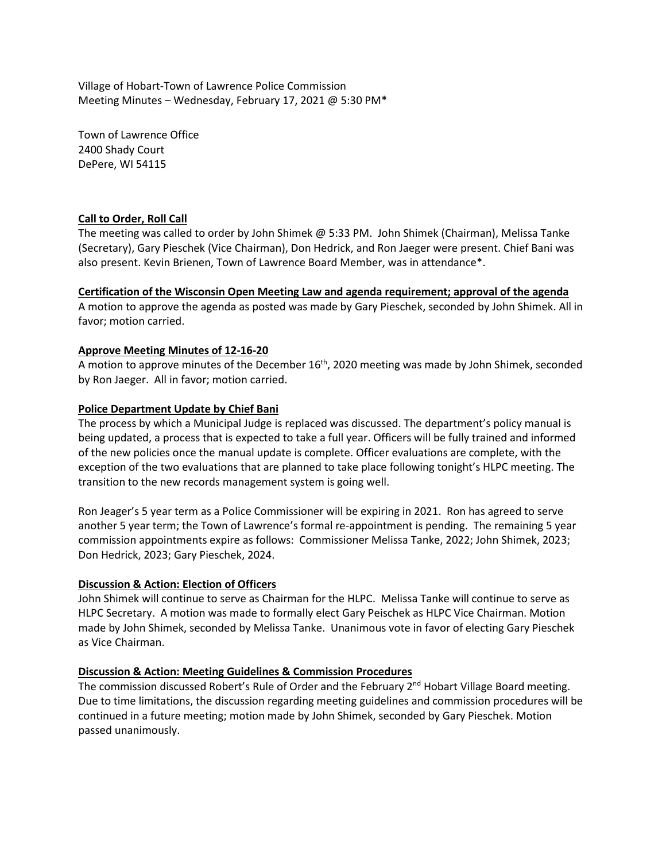Village of Hobart-Town of Lawrence Police Commission Meeting Minutes – Wednesday, February 17, 2021 @ 5:30 PM\*

Town of Lawrence Office 2400 Shady Court DePere, WI 54115

# **Call to Order, Roll Call**

The meeting was called to order by John Shimek @ 5:33 PM. John Shimek (Chairman), Melissa Tanke (Secretary), Gary Pieschek (Vice Chairman), Don Hedrick, and Ron Jaeger were present. Chief Bani was also present. Kevin Brienen, Town of Lawrence Board Member, was in attendance\*.

# **Certification of the Wisconsin Open Meeting Law and agenda requirement; approval of the agenda**

A motion to approve the agenda as posted was made by Gary Pieschek, seconded by John Shimek. All in favor; motion carried.

# **Approve Meeting Minutes of 12-16-20**

A motion to approve minutes of the December 16<sup>th</sup>, 2020 meeting was made by John Shimek, seconded by Ron Jaeger. All in favor; motion carried.

# **Police Department Update by Chief Bani**

The process by which a Municipal Judge is replaced was discussed. The department's policy manual is being updated, a process that is expected to take a full year. Officers will be fully trained and informed of the new policies once the manual update is complete. Officer evaluations are complete, with the exception of the two evaluations that are planned to take place following tonight's HLPC meeting. The transition to the new records management system is going well.

Ron Jeager's 5 year term as a Police Commissioner will be expiring in 2021. Ron has agreed to serve another 5 year term; the Town of Lawrence's formal re-appointment is pending. The remaining 5 year commission appointments expire as follows: Commissioner Melissa Tanke, 2022; John Shimek, 2023; Don Hedrick, 2023; Gary Pieschek, 2024.

# **Discussion & Action: Election of Officers**

John Shimek will continue to serve as Chairman for the HLPC. Melissa Tanke will continue to serve as HLPC Secretary. A motion was made to formally elect Gary Peischek as HLPC Vice Chairman. Motion made by John Shimek, seconded by Melissa Tanke. Unanimous vote in favor of electing Gary Pieschek as Vice Chairman.

# **Discussion & Action: Meeting Guidelines & Commission Procedures**

The commission discussed Robert's Rule of Order and the February 2<sup>nd</sup> Hobart Village Board meeting. Due to time limitations, the discussion regarding meeting guidelines and commission procedures will be continued in a future meeting; motion made by John Shimek, seconded by Gary Pieschek. Motion passed unanimously.